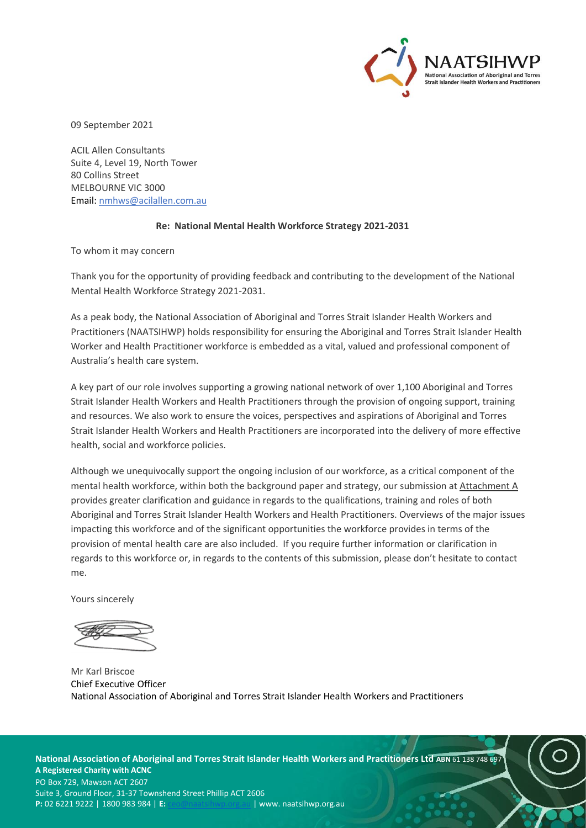

09 September 2021

ACIL Allen Consultants Suite 4, Level 19, North Tower 80 Collins Street MELBOURNE VIC 3000 Email: [nmhws@acilallen.com.au](mailto:nmhws@acilallen.com.au)

### **Re: National Mental Health Workforce Strategy 2021-2031**

To whom it may concern

Thank you for the opportunity of providing feedback and contributing to the development of the National Mental Health Workforce Strategy 2021-2031.

As a peak body, the National Association of Aboriginal and Torres Strait Islander Health Workers and Practitioners (NAATSIHWP) holds responsibility for ensuring the Aboriginal and Torres Strait Islander Health Worker and Health Practitioner workforce is embedded as a vital, valued and professional component of Australia's health care system.

A key part of our role involves supporting a growing national network of over 1,100 Aboriginal and Torres Strait Islander Health Workers and Health Practitioners through the provision of ongoing support, training and resources. We also work to ensure the voices, perspectives and aspirations of Aboriginal and Torres Strait Islander Health Workers and Health Practitioners are incorporated into the delivery of more effective health, social and workforce policies.

Although we unequivocally support the ongoing inclusion of our workforce, as a critical component of the mental health workforce, within both the background paper and strategy, our submission at Attachment A provides greater clarification and guidance in regards to the qualifications, training and roles of both Aboriginal and Torres Strait Islander Health Workers and Health Practitioners. Overviews of the major issues impacting this workforce and of the significant opportunities the workforce provides in terms of the provision of mental health care are also included. If you require further information or clarification in regards to this workforce or, in regards to the contents of this submission, please don't hesitate to contact me.

Yours sincerely

Mr Karl Briscoe Chief Executive Officer National Association of Aboriginal and Torres Strait Islander Health Workers and Practitioners

**National Association of Aboriginal and Torres Strait Islander Health Workers and Practitioners Ltd ABN** 61 138 748 697 **A Registered Charity with ACNC**  PO Box 729, Mawson ACT 2607 Suite 3, Ground Floor, 31-37 Townshend Street Phillip ACT 2606 **P:** 02 6221 9222 | 1800 983 984 | **E:** [ceo@naatsihwp.org.au](mailto:ceo@naatsihwp.org.au) | www. naatsihwp.org.au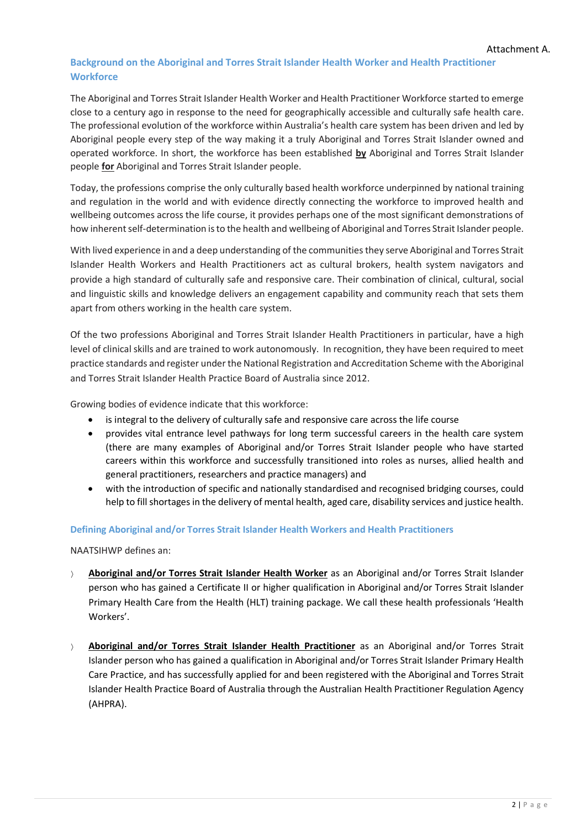# **Background on the Aboriginal and Torres Strait Islander Health Worker and Health Practitioner Workforce**

The Aboriginal and Torres Strait Islander Health Worker and Health Practitioner Workforce started to emerge close to a century ago in response to the need for geographically accessible and culturally safe health care. The professional evolution of the workforce within Australia's health care system has been driven and led by Aboriginal people every step of the way making it a truly Aboriginal and Torres Strait Islander owned and operated workforce. In short, the workforce has been established **by** Aboriginal and Torres Strait Islander people **for** Aboriginal and Torres Strait Islander people.

Today, the professions comprise the only culturally based health workforce underpinned by national training and regulation in the world and with evidence directly connecting the workforce to improved health and wellbeing outcomes across the life course, it provides perhaps one of the most significant demonstrations of how inherent self-determination is to the health and wellbeing of Aboriginal and Torres Strait Islander people.

With lived experience in and a deep understanding of the communities they serve Aboriginal and Torres Strait Islander Health Workers and Health Practitioners act as cultural brokers, health system navigators and provide a high standard of culturally safe and responsive care. Their combination of clinical, cultural, social and linguistic skills and knowledge delivers an engagement capability and community reach that sets them apart from others working in the health care system.

Of the two professions Aboriginal and Torres Strait Islander Health Practitioners in particular, have a high level of clinical skills and are trained to work autonomously. In recognition, they have been required to meet practice standards and register under the National Registration and Accreditation Scheme with the Aboriginal and Torres Strait Islander Health Practice Board of Australia since 2012.

Growing bodies of evidence indicate that this workforce:

- is integral to the delivery of culturally safe and responsive care across the life course
- provides vital entrance level pathways for long term successful careers in the health care system (there are many examples of Aboriginal and/or Torres Strait Islander people who have started careers within this workforce and successfully transitioned into roles as nurses, allied health and general practitioners, researchers and practice managers) and
- with the introduction of specific and nationally standardised and recognised bridging courses, could help to fill shortages in the delivery of mental health, aged care, disability services and justice health.

## **Defining Aboriginal and/or Torres Strait Islander Health Workers and Health Practitioners**

NAATSIHWP defines an:

- **Aboriginal and/or Torres Strait Islander Health Worker** as an Aboriginal and/or Torres Strait Islander person who has gained a Certificate II or higher qualification in Aboriginal and/or Torres Strait Islander Primary Health Care from the Health (HLT) training package. We call these health professionals 'Health Workers'.
- **Aboriginal and/or Torres Strait Islander Health Practitioner** as an Aboriginal and/or Torres Strait Islander person who has gained a qualification in Aboriginal and/or Torres Strait Islander Primary Health Care Practice, and has successfully applied for and been registered with the Aboriginal and Torres Strait Islander Health Practice Board of Australia through the Australian Health Practitioner Regulation Agency (AHPRA).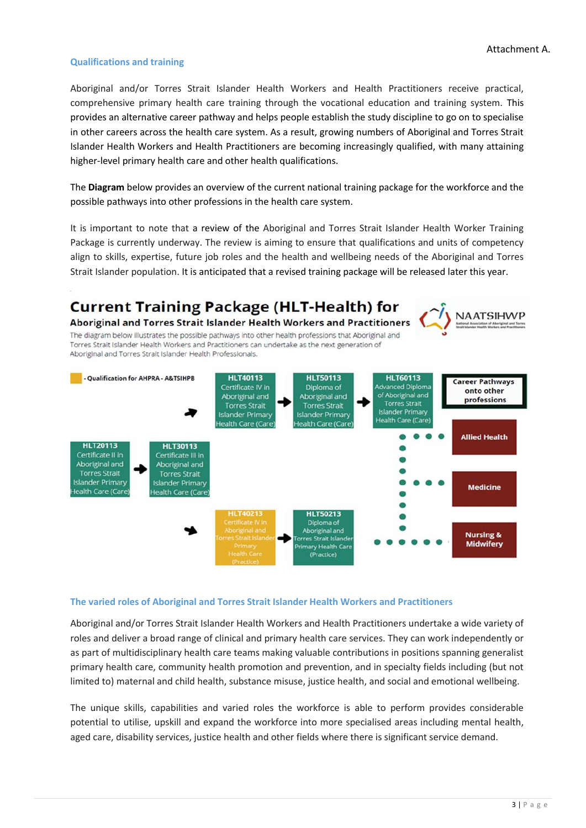### **Qualifications and training**

Aboriginal and/or Torres Strait Islander Health Workers and Health Practitioners receive practical, comprehensive primary health care training through the vocational education and training system. This provides an alternative career pathway and helps people establish the study discipline to go on to specialise in other careers across the health care system. As a result, growing numbers of Aboriginal and Torres Strait Islander Health Workers and Health Practitioners are becoming increasingly qualified, with many attaining higher-level primary health care and other health qualifications.

The **Diagram** below provides an overview of the current national training package for the workforce and the possible pathways into other professions in the health care system.

It is important to note that a review of the Aboriginal and Torres Strait Islander Health Worker Training Package is currently underway. The review is aiming to ensure that qualifications and units of competency align to skills, expertise, future job roles and the health and wellbeing needs of the Aboriginal and Torres Strait Islander population. It is anticipated that a revised training package will be released later this year.



#### **The varied roles of Aboriginal and Torres Strait Islander Health Workers and Practitioners**

Aboriginal and/or Torres Strait Islander Health Workers and Health Practitioners undertake a wide variety of roles and deliver a broad range of clinical and primary health care services. They can work independently or as part of multidisciplinary health care teams making valuable contributions in positions spanning generalist primary health care, community health promotion and prevention, and in specialty fields including (but not limited to) maternal and child health, substance misuse, justice health, and social and emotional wellbeing.

The unique skills, capabilities and varied roles the workforce is able to perform provides considerable potential to utilise, upskill and expand the workforce into more specialised areas including mental health, aged care, disability services, justice health and other fields where there is significant service demand.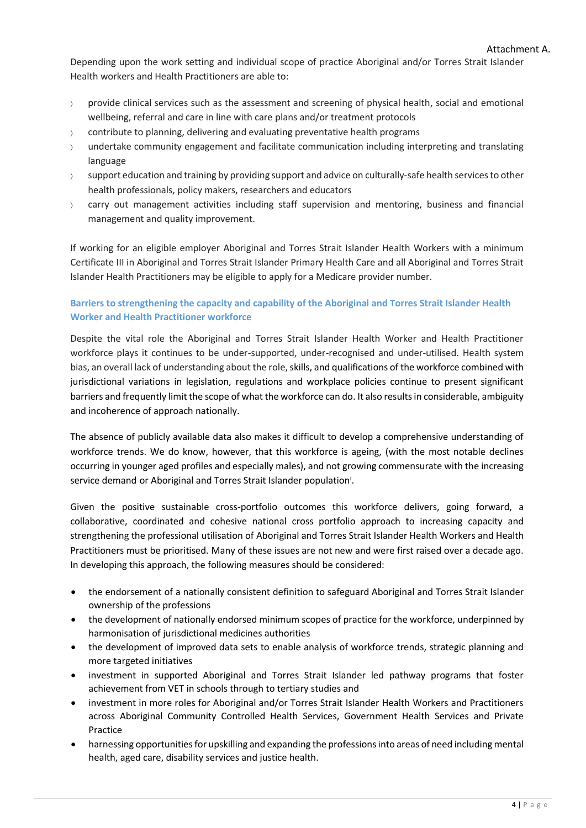Depending upon the work setting and individual scope of practice Aboriginal and/or Torres Strait Islander Health workers and Health Practitioners are able to:

- provide clinical services such as the assessment and screening of physical health, social and emotional wellbeing, referral and care in line with care plans and/or treatment protocols
- $\angle$  contribute to planning, delivering and evaluating preventative health programs
- undertake community engagement and facilitate communication including interpreting and translating language
- $\gamma$  support education and training by providing support and advice on culturally-safe health services to other health professionals, policy makers, researchers and educators
- $\rightarrow$  carry out management activities including staff supervision and mentoring, business and financial management and quality improvement.

If working for an eligible employer Aboriginal and Torres Strait Islander Health Workers with a minimum Certificate III in Aboriginal and Torres Strait Islander Primary Health Care and all Aboriginal and Torres Strait Islander Health Practitioners may be eligible to apply for a Medicare provider number.

## **Barriers to strengthening the capacity and capability of the Aboriginal and Torres Strait Islander Health Worker and Health Practitioner workforce**

Despite the vital role the Aboriginal and Torres Strait Islander Health Worker and Health Practitioner workforce plays it continues to be under-supported, under-recognised and under-utilised. Health system bias, an overall lack of understanding about the role, skills, and qualifications of the workforce combined with jurisdictional variations in legislation, regulations and workplace policies continue to present significant barriers and frequently limit the scope of what the workforce can do. It also results in considerable, ambiguity and incoherence of approach nationally.

The absence of publicly available data also makes it difficult to develop a comprehensive understanding of workforce trends. We do know, however, that this workforce is ageing, (with the most notable declines occurring in younger aged profiles and especially males), and not growing commensurate with the increasing service demand or Aboriginal and Torres Strait Islander population<sup>i</sup>.

Given the positive sustainable cross-portfolio outcomes this workforce delivers, going forward, a collaborative, coordinated and cohesive national cross portfolio approach to increasing capacity and strengthening the professional utilisation of Aboriginal and Torres Strait Islander Health Workers and Health Practitioners must be prioritised. Many of these issues are not new and were first raised over a decade ago. In developing this approach, the following measures should be considered:

- the endorsement of a nationally consistent definition to safeguard Aboriginal and Torres Strait Islander ownership of the professions
- the development of nationally endorsed minimum scopes of practice for the workforce, underpinned by harmonisation of jurisdictional medicines authorities
- the development of improved data sets to enable analysis of workforce trends, strategic planning and more targeted initiatives
- investment in supported Aboriginal and Torres Strait Islander led pathway programs that foster achievement from VET in schools through to tertiary studies and
- investment in more roles for Aboriginal and/or Torres Strait Islander Health Workers and Practitioners across Aboriginal Community Controlled Health Services, Government Health Services and Private Practice
- harnessing opportunities for upskilling and expanding the professions into areas of need including mental health, aged care, disability services and justice health.